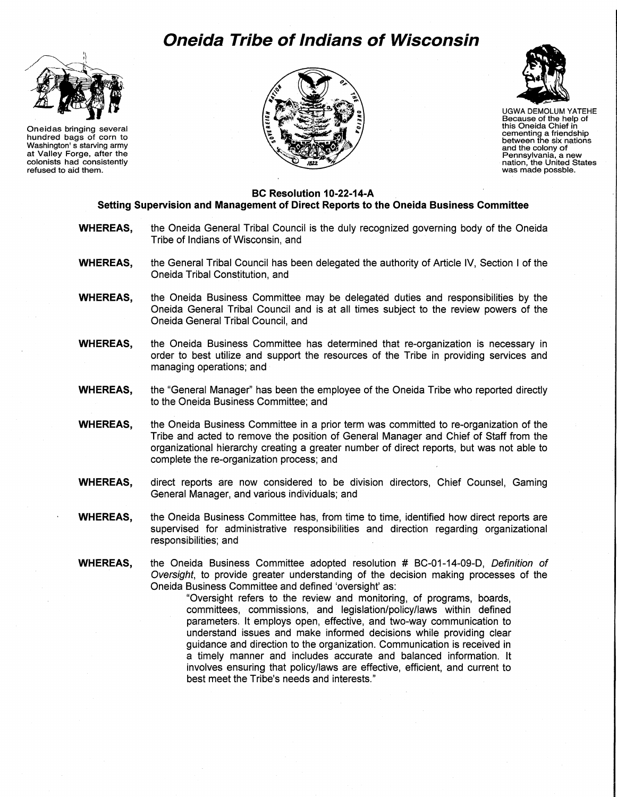## **Oneida Tribe of Indians of Wisconsin**



Oneidas bringing several hundred bags of corn to Washington' s starving army at Valley Forge, after the colonists had consistently refused to aid them.





UGWA DEMOLUM YATEHE Because of the help of this Oneida Chief in cementing a friendship between the six nations and the colony of Pennsylvania, a new nation, the United States was made possble.

## **BC Resolution 10-22-14-A Setting Supervision and Management of Direct Reports to the Oneida Business Committee**

- **WHEREAS,** the Oneida General Tribal Council is the duly recognized governing body of the Oneida Tribe of Indians of Wisconsin, and
- **WHEREAS,** the General Tribal Council has been delegated the authority of Article IV, Section I of the Oneida Tribal Constitution, and
- **WHEREAS,** the Oneida Business Committee may be delegated duties and responsibilities by the Oneida General Tribal Council and is at all times subject to the review powers of the Oneida General Tribal Council, and
- **WHEREAS,** the Oneida Business Committee has determined that re-organization is necessary in order to best utilize and support the resources of the Tribe in providing services and managing operations; and
- **WHEREAS,** the "General Manager" has been the employee of the Oneida Tribe who reported directly to the Oneida Business Committee; and
- **WHEREAS,** the Oneida Business Committee in a prior term was committed to re-organization of the Tribe and acted to remove the position of General Manager and Chief of Staff from the organizational hierarchy creating a greater number of direct reports, but was not able to complete the re-organization process; and
- **WHEREAS,** direct reports are now considered to be division directors, Chief Counsel, Gaming General Manager, and various individuals; and
- **WHEREAS,** the Oneida Business Committee has, from time to time, identified how direct reports are supervised for administrative responsibilities and direction regarding organizational responsibilities; and
- WHEREAS, the Oneida Business Committee adopted resolution # BC-01-14-09-D, Definition of Oversight, to provide greater understanding of the decision making processes of the Oneida Business Committee and defined 'oversight' as:

"Oversight refers to the review and monitoring, of programs, boards, committees, commissions, and legislation/policy/laws within defined parameters. It employs open, effective, and two-way communication to understand issues and make informed decisions while providing clear guidance and direction to the organization. Communication is received in a timely manner and includes accurate and balanced information. It involves ensuring that policy/laws are effective, efficient, and current to best meet the Tribe's needs and interests."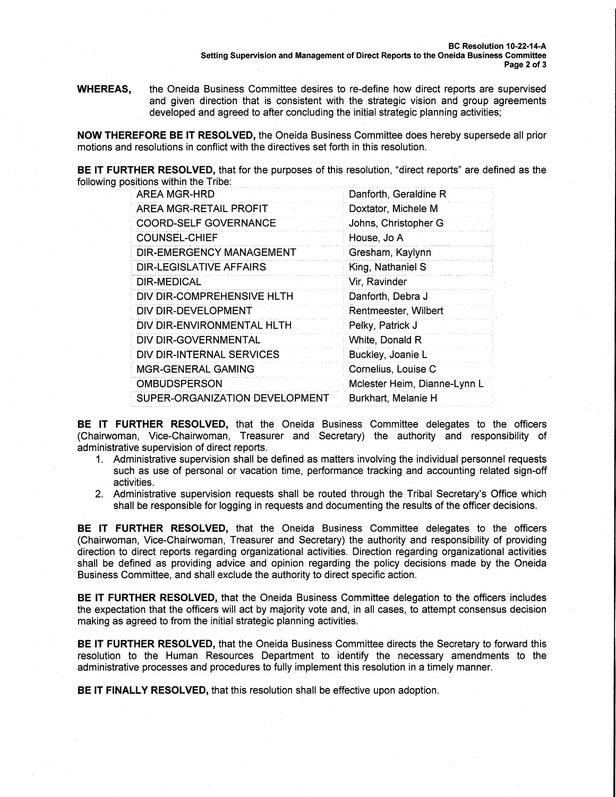**WHEREAS,** the Oneida Business Committee desires to re-define how direct reports are supervised and given direction that is consistent with the strategic vision and group agreements developed and agreed to after concluding the initial strategic planning activities;

NOW THEREFORE BE IT RESOLVED, the Oneida Business Committee does hereby supersede all prior motions and resolutions in conflict with the directives set forth in this resolution.

**BE IT FURTHER RESOLVED, that for the purposes of this resolution, "direct reports" are defined as the** following positions within the Tribe:

| <b>AREA MGR-HRD</b>            | Danforth, Geraldine R        |
|--------------------------------|------------------------------|
| AREA MGR-RETAIL PROFIT         | Doxtator, Michele M          |
| <b>COORD-SELF GOVERNANCE</b>   | Johns, Christopher G         |
| <b>COUNSEL-CHIEF</b>           | House, Jo A                  |
| DIR-EMERGENCY MANAGEMENT       | Gresham, Kaylynn             |
| <b>DIR-LEGISLATIVE AFFAIRS</b> | King, Nathaniel S            |
| DIR-MEDICAL                    | Vir, Ravinder                |
| DIV DIR-COMPREHENSIVE HLTH     | Danforth, Debra J            |
| DIV DIR-DEVELOPMENT            | Rentmeester, Wilbert         |
| DIV DIR-ENVIRONMENTAL HLTH     | Pelky, Patrick J             |
| DIV DIR-GOVERNMENTAL           | White, Donald R              |
| DIV DIR-INTERNAL SERVICES      | Buckley, Joanie L            |
| <b>MGR-GENERAL GAMING</b>      | Cornelius, Louise C          |
| <b>OMBUDSPERSON</b>            | Mclester Heim, Dianne-Lynn L |
| SUPER-ORGANIZATION DEVELOPMENT | Burkhart, Melanie H          |

BE IT FURTHER RESOLVED, that the Oneida Business Committee delegates to the officers (Chairwoman, Vice-Chairwoman, Treasurer and Secretary) the authority and responsibility of administrative supervision of direct reports.

- 1. Administrative supervision shall be defined as matters involving the individual personnel requests such as use of personal or vacation time, performance tracking and accounting related sign-off activities.
- 2. Administrative supervision requests shall be routed through the Tribal Secretary's Office which shall be responsible for logging in requests and documenting the results of the officer decisions.

BE IT FURTHER RESOLVED, that the Oneida Business Committee delegates to the officers (Chairwoman, Vice-Chairwoman, Treasurer and Secretary) the authority and responsibility of providing direction to direct reports regarding organizational activities. Direction regarding organizational activities shall be defined as providing advice and opinion regarding the policy decisions made by the Oneida Business Committee, and shall exclude the authority to direct specific action.

BE IT FURTHER RESOLVED, that the Oneida Business Committee delegation to the officers includes the expectation that the officers will act by majority vote and, in all cases, to attempt consensus decision making as agreed to from the initial strategic planning activities.

BE IT FURTHER RESOLVED, that the Oneida Business Committee directs the Secretary to forward this resolution to the Human Resources Department to identify the necessary amendments to the administrative processes and procedures to fully implement this resolution in a timely manner.

BE IT FINALLY RESOLVED, that this resolution shall be effective upon adoption.